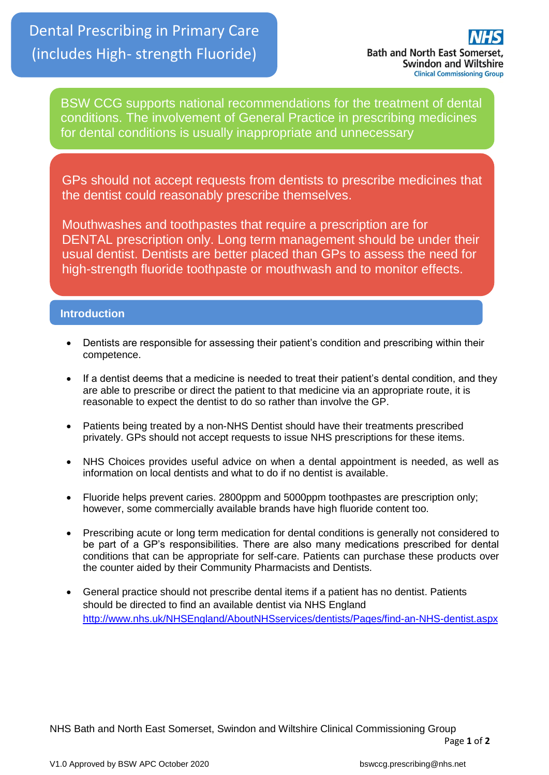BSW CCG supports national recommendations for the treatment of dental conditions. The involvement of General Practice in prescribing medicines for dental conditions is usually inappropriate and unnecessary

GPs should not accept requests from dentists to prescribe medicines that the dentist could reasonably prescribe themselves.

Mouthwashes and toothpastes that require a prescription are for DENTAL prescription only. Long term management should be under their usual dentist. Dentists are better placed than GPs to assess the need for high-strength fluoride toothpaste or mouthwash and to monitor effects.

# **Introduction**

- Dentists are responsible for assessing their patient's condition and prescribing within their competence.
- If a dentist deems that a medicine is needed to treat their patient's dental condition, and they are able to prescribe or direct the patient to that medicine via an appropriate route, it is reasonable to expect the dentist to do so rather than involve the GP.
- Patients being treated by a non-NHS Dentist should have their treatments prescribed privately. GPs should not accept requests to issue NHS prescriptions for these items.
- NHS Choices provides useful advice on when a dental appointment is needed, as well as information on local dentists and what to do if no dentist is available.
- Fluoride helps prevent caries. 2800ppm and 5000ppm toothpastes are prescription only; however, some commercially available brands have high fluoride content too.
- Prescribing acute or long term medication for dental conditions is generally not considered to be part of a GP's responsibilities. There are also many medications prescribed for dental conditions that can be appropriate for self-care. Patients can purchase these products over the counter aided by their Community Pharmacists and Dentists.
- General practice should not prescribe dental items if a patient has no dentist. Patients should be directed to find an available dentist via NHS England <http://www.nhs.uk/NHSEngland/AboutNHSservices/dentists/Pages/find-an-NHS-dentist.aspx>

NHS Bath and North East Somerset, Swindon and Wiltshire Clinical Commissioning Group Page **1** of **2**